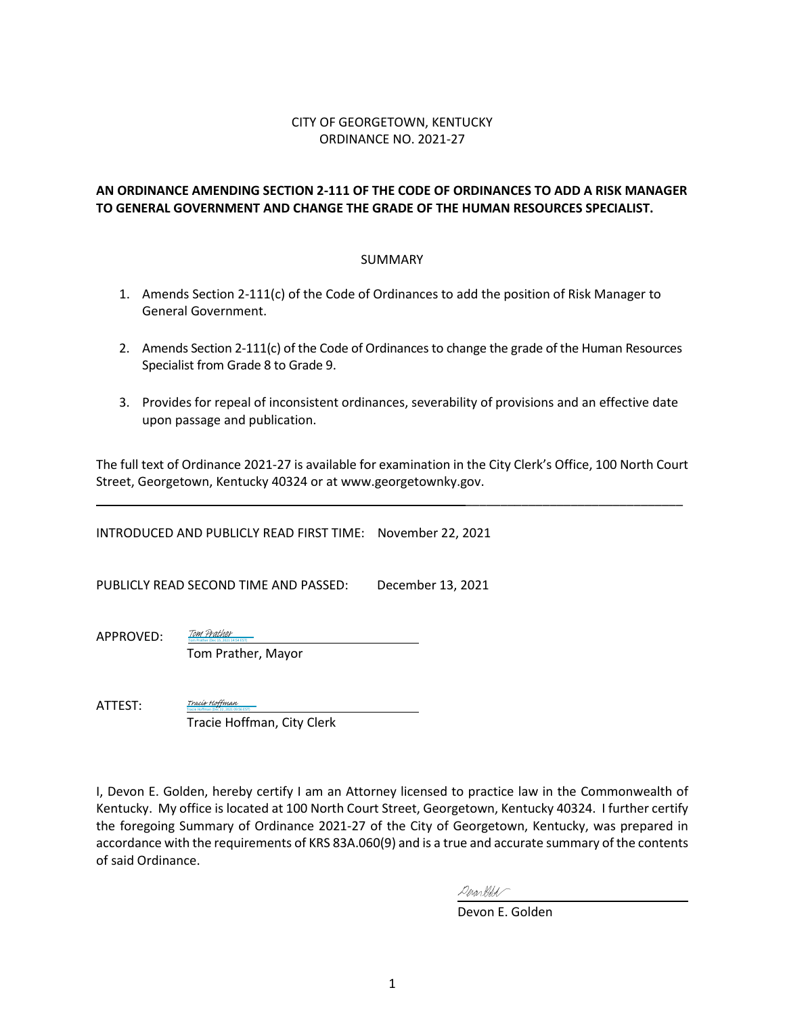# CITY OF GEORGETOWN, KENTUCKY ORDINANCE NO. 2021-27

# **AN ORDINANCE AMENDING SECTION 2-111 OF THE CODE OF ORDINANCES TO ADD A RISK MANAGER TO GENERAL GOVERNMENT AND CHANGE THE GRADE OF THE HUMAN RESOURCES SPECIALIST.**

#### SUMMARY

- 1. Amends Section 2-111(c) of the Code of Ordinances to add the position of Risk Manager to General Government.
- 2. Amends Section 2-111(c) of the Code of Ordinances to change the grade of the Human Resources Specialist from Grade 8 to Grade 9.
- 3. Provides for repeal of inconsistent ordinances, severability of provisions and an effective date upon passage and publication.

The full text of Ordinance 2021-27 is available for examination in the City Clerk's Office, 100 North Court Street, Georgetown, Kentucky 40324 or at www.georgetownky.gov.

INTRODUCED AND PUBLICLY READ FIRST TIME: November 22, 2021

PUBLICLY READ SECOND TIME AND PASSED: December 13, 2021

APPROVED:

Tom Prather, Mayor

Tom Prather (Dec 15, 2021 14:54 EST) [Tom Prather](https://na1.documents.adobe.com/verifier?tx=CBJCHBCAABAAlUfD--ejfOkBA1Dqo74MssVmpCMZruho)

Tracie Hoffman (Dec 22, 2021 09:56 EST) [Tracie Hoffman](https://na1.documents.adobe.com/verifier?tx=CBJCHBCAABAAlUfD--ejfOkBA1Dqo74MssVmpCMZruho)

ATTEST:

Tracie Hoffman, City Clerk

I, Devon E. Golden, hereby certify I am an Attorney licensed to practice law in the Commonwealth of Kentucky. My office is located at 100 North Court Street, Georgetown, Kentucky 40324. I further certify the foregoing Summary of Ordinance 2021-27 of the City of Georgetown, Kentucky, was prepared in accordance with the requirements of KRS 83A.060(9) and is a true and accurate summary of the contents of said Ordinance.

Derardolt

Devon E. Golden

\_\_\_\_\_\_\_\_\_\_\_\_\_\_\_\_\_\_\_\_\_\_\_\_\_\_\_\_\_\_\_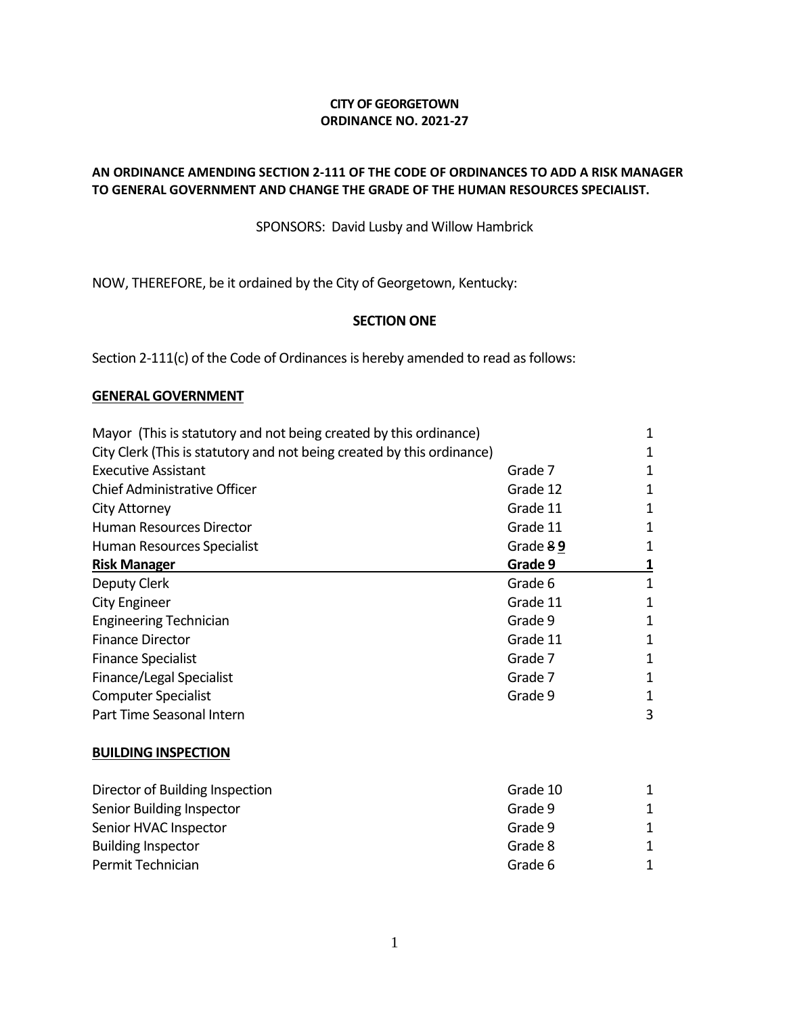# **CITY OF GEORGETOWN ORDINANCE NO. 2021-27**

# **AN ORDINANCE AMENDING SECTION 2-111 OF THE CODE OF ORDINANCES TO ADD A RISK MANAGER TO GENERAL GOVERNMENT AND CHANGE THE GRADE OF THE HUMAN RESOURCES SPECIALIST.**

SPONSORS: David Lusby and Willow Hambrick

NOW, THEREFORE, be it ordained by the City of Georgetown, Kentucky:

# **SECTION ONE**

Section 2-111(c) of the Code of Ordinances is hereby amended to read as follows:

# **GENERAL GOVERNMENT**

| Mayor (This is statutory and not being created by this ordinance)      |          | $\mathbf 1$             |
|------------------------------------------------------------------------|----------|-------------------------|
| City Clerk (This is statutory and not being created by this ordinance) |          | 1                       |
| <b>Executive Assistant</b>                                             | Grade 7  | 1                       |
| Chief Administrative Officer                                           | Grade 12 | $\mathbf 1$             |
| <b>City Attorney</b>                                                   | Grade 11 | 1                       |
| <b>Human Resources Director</b>                                        | Grade 11 | 1                       |
| Human Resources Specialist                                             | Grade 89 | $\mathbf 1$             |
| <b>Risk Manager</b>                                                    | Grade 9  | $\overline{\mathbf{1}}$ |
| Deputy Clerk                                                           | Grade 6  | 1                       |
| <b>City Engineer</b>                                                   | Grade 11 | $\mathbf 1$             |
| <b>Engineering Technician</b>                                          | Grade 9  | 1                       |
| <b>Finance Director</b>                                                | Grade 11 | 1                       |
| <b>Finance Specialist</b>                                              | Grade 7  | 1                       |
| Finance/Legal Specialist                                               | Grade 7  | $\mathbf 1$             |
| <b>Computer Specialist</b>                                             | Grade 9  | 1                       |
| Part Time Seasonal Intern                                              |          | 3                       |
| <b>BUILDING INSPECTION</b>                                             |          |                         |
| Director of Building Inspection                                        | Grade 10 | 1                       |
| Senior Building Inspector                                              | Grade 9  | 1                       |
| Senior HVAC Inspector                                                  | Grade 9  | $\mathbf 1$             |
| <b>Building Inspector</b>                                              | Grade 8  | $\mathbf 1$             |
| Permit Technician                                                      | Grade 6  | 1                       |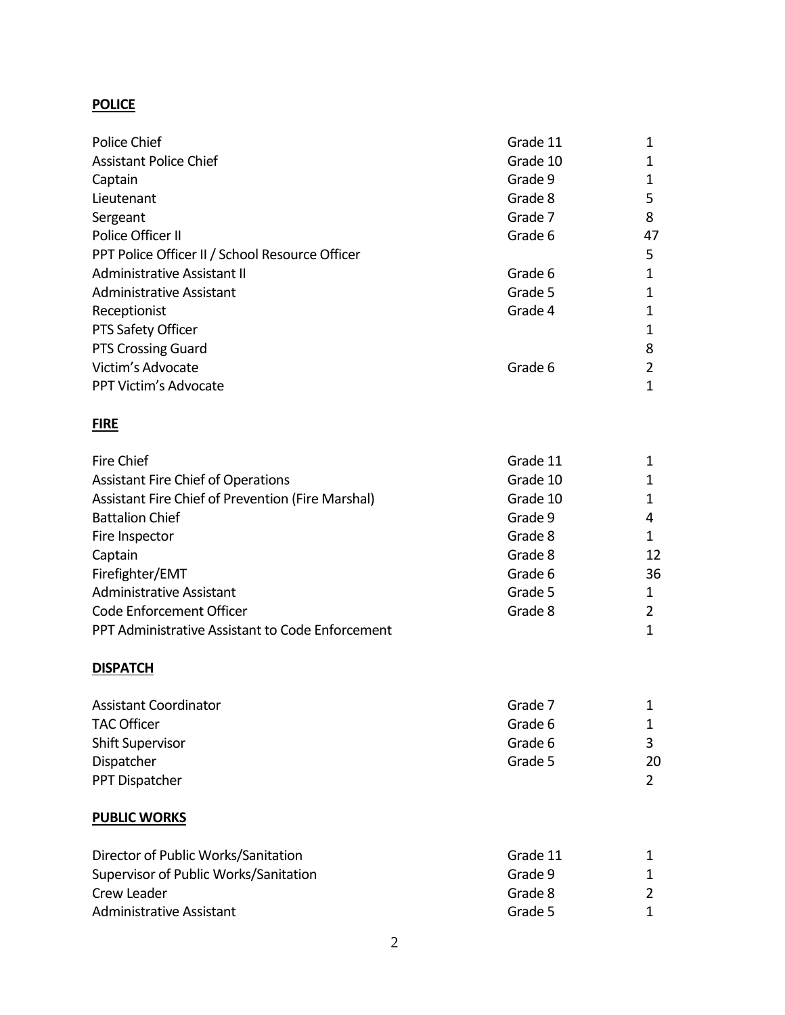# **POLICE**

| Police Chief                                    | Grade 11 | 1  |
|-------------------------------------------------|----------|----|
| <b>Assistant Police Chief</b>                   | Grade 10 | 1  |
| Captain                                         | Grade 9  | 1  |
| Lieutenant                                      | Grade 8  | 5  |
| Sergeant                                        | Grade 7  | 8  |
| Police Officer II                               | Grade 6  | 47 |
| PPT Police Officer II / School Resource Officer |          | 5  |
| Administrative Assistant II                     | Grade 6  | 1  |
| <b>Administrative Assistant</b>                 | Grade 5  | 1  |
| Receptionist                                    | Grade 4  | 1  |
| PTS Safety Officer                              |          | 1  |
| <b>PTS Crossing Guard</b>                       |          | 8  |
| Victim's Advocate                               | Grade 6  | 2  |
| PPT Victim's Advocate                           |          | 1  |

# **FIRE**

| Fire Chief                                        | Grade 11 |    |
|---------------------------------------------------|----------|----|
| <b>Assistant Fire Chief of Operations</b>         | Grade 10 |    |
| Assistant Fire Chief of Prevention (Fire Marshal) | Grade 10 |    |
| <b>Battalion Chief</b>                            | Grade 9  | 4  |
| Fire Inspector                                    | Grade 8  |    |
| Captain                                           | Grade 8  | 12 |
| Firefighter/EMT                                   | Grade 6  | 36 |
| <b>Administrative Assistant</b>                   | Grade 5  |    |
| Code Enforcement Officer                          | Grade 8  |    |
| PPT Administrative Assistant to Code Enforcement  |          |    |

# **DISPATCH**

| <b>Assistant Coordinator</b> | Grade 7 |    |
|------------------------------|---------|----|
| <b>TAC Officer</b>           | Grade 6 |    |
| <b>Shift Supervisor</b>      | Grade 6 |    |
| Dispatcher                   | Grade 5 | 20 |
| PPT Dispatcher               |         |    |

# **PUBLIC WORKS**

|         | $\mathcal{L}$                  |
|---------|--------------------------------|
| Grade 5 |                                |
|         | Grade 11<br>Grade 9<br>Grade 8 |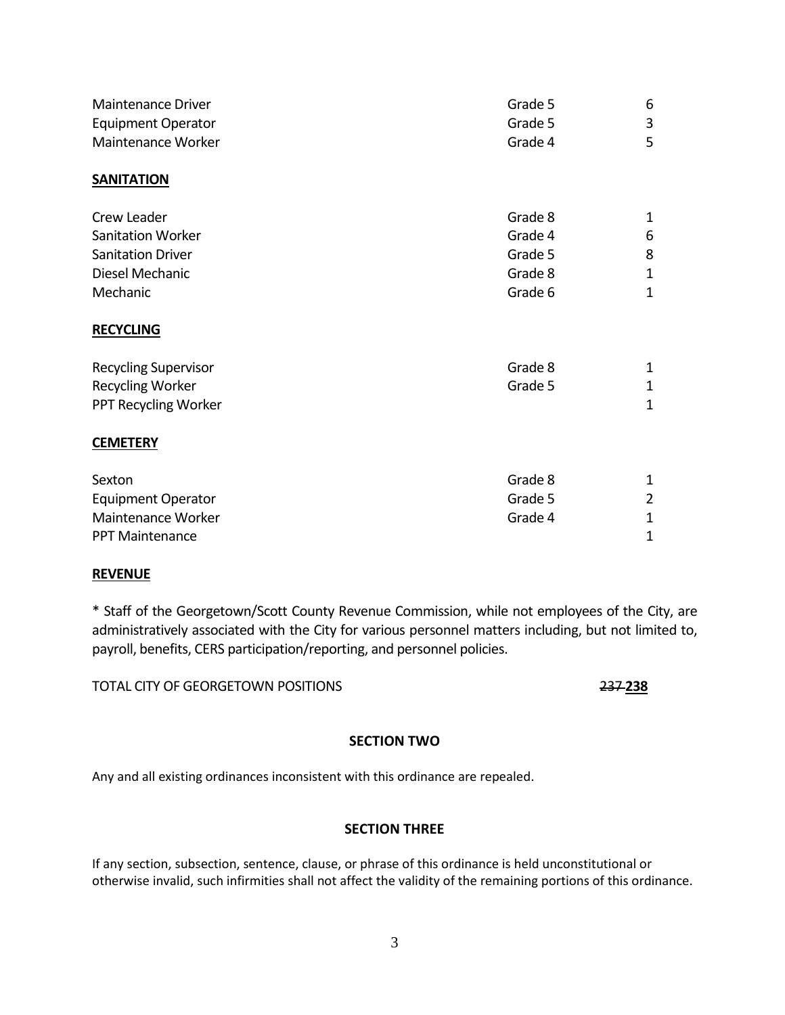| Maintenance Driver          | Grade 5 | 6              |
|-----------------------------|---------|----------------|
| <b>Equipment Operator</b>   | Grade 5 | 3              |
| Maintenance Worker          | Grade 4 | 5              |
| <b>SANITATION</b>           |         |                |
| Crew Leader                 | Grade 8 | 1              |
| Sanitation Worker           | Grade 4 | 6              |
| <b>Sanitation Driver</b>    | Grade 5 | 8              |
| Diesel Mechanic             | Grade 8 | 1              |
| Mechanic                    | Grade 6 | $\mathbf 1$    |
| <b>RECYCLING</b>            |         |                |
| <b>Recycling Supervisor</b> | Grade 8 | 1              |
| <b>Recycling Worker</b>     | Grade 5 | 1              |
| PPT Recycling Worker        |         | $\mathbf 1$    |
| <b>CEMETERY</b>             |         |                |
| Sexton                      | Grade 8 | 1              |
| <b>Equipment Operator</b>   | Grade 5 | $\overline{2}$ |
| Maintenance Worker          | Grade 4 | $\mathbf 1$    |
| <b>PPT Maintenance</b>      |         | 1              |

# **REVENUE**

\* Staff of the Georgetown/Scott County Revenue Commission, while not employees of the City, are administratively associated with the City for various personnel matters including, but not limited to, payroll, benefits, CERS participation/reporting, and personnel policies.

TOTAL CITY OF GEORGETOWN POSITIONS 237 **238**

# **SECTION TWO**

Any and all existing ordinances inconsistent with this ordinance are repealed.

# **SECTION THREE**

If any section, subsection, sentence, clause, or phrase of this ordinance is held unconstitutional or otherwise invalid, such infirmities shall not affect the validity of the remaining portions of this ordinance.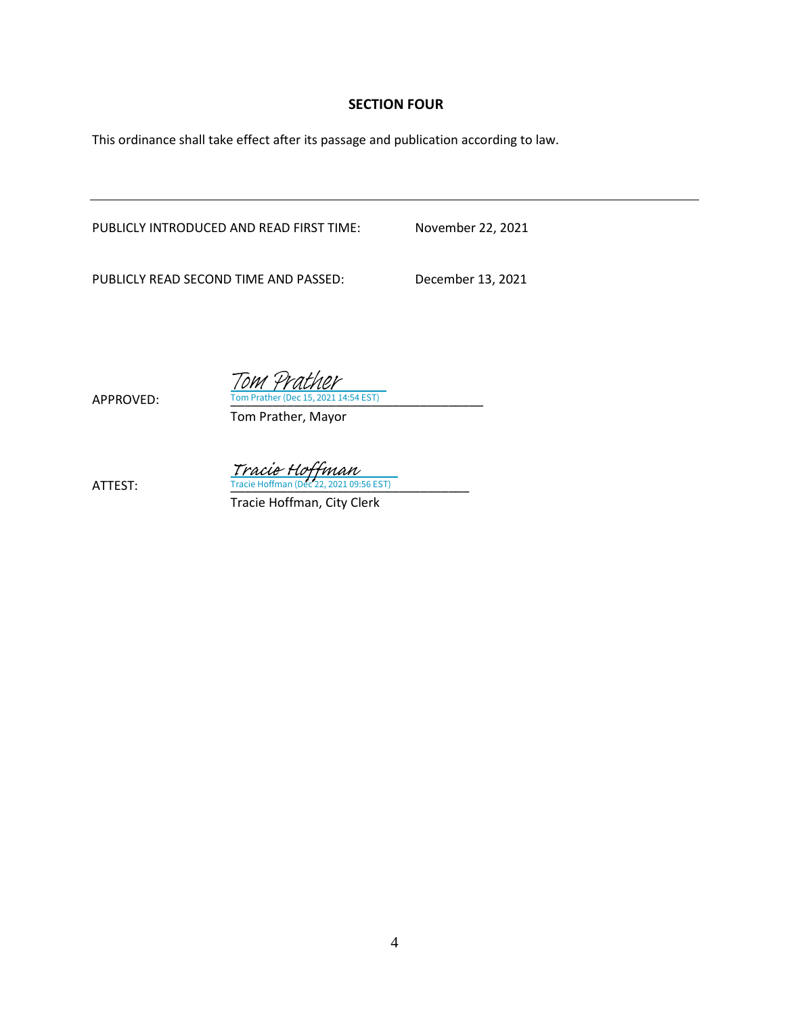# **SECTION FOUR**

This ordinance shall take effect after its passage and publication according to law.

PUBLICLY INTRODUCED AND READ FIRST TIME: November 22, 2021

PUBLICLY READ SECOND TIME AND PASSED: December 13, 2021

Tracie Hoffman<br>ATTEST: Tracie Hoffman (Dec 22, 2021 09:56 EST)

Tom Prather, Mayor

APPROVED: Tom Prather (Dec 15, 2021 14:54 EST)

Tom Prather

Tracie Hoffman, City Clerk